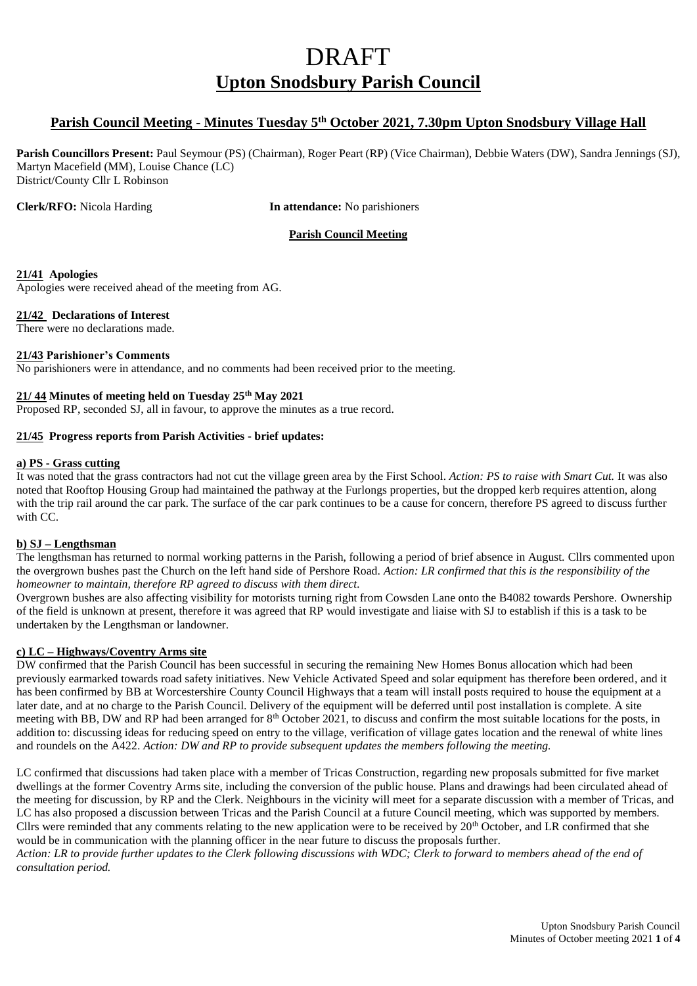# DRAFT **Upton Snodsbury Parish Council**

### **Parish Council Meeting - Minutes Tuesday 5 th October 2021, 7.30pm Upton Snodsbury Village Hall**

**Parish Councillors Present:** Paul Seymour (PS) (Chairman), Roger Peart (RP) (Vice Chairman), Debbie Waters (DW), Sandra Jennings (SJ), Martyn Macefield (MM), Louise Chance (LC) District/County Cllr L Robinson

**Clerk/RFO:** Nicola Harding **In attendance:** No parishioners

#### **Parish Council Meeting**

#### **21/41 Apologies**

Apologies were received ahead of the meeting from AG.

#### **21/42 Declarations of Interest**

There were no declarations made.

#### **21/43 Parishioner's Comments**

No parishioners were in attendance, and no comments had been received prior to the meeting.

#### **21/ 44 Minutes of meeting held on Tuesday 25th May 2021**

Proposed RP, seconded SJ, all in favour, to approve the minutes as a true record.

#### **21/45 Progress reports from Parish Activities - brief updates:**

#### **a) PS - Grass cutting**

It was noted that the grass contractors had not cut the village green area by the First School. *Action: PS to raise with Smart Cut.* It was also noted that Rooftop Housing Group had maintained the pathway at the Furlongs properties, but the dropped kerb requires attention, along with the trip rail around the car park. The surface of the car park continues to be a cause for concern, therefore PS agreed to discuss further with CC.

#### **b) SJ – Lengthsman**

The lengthsman has returned to normal working patterns in the Parish, following a period of brief absence in August. Cllrs commented upon the overgrown bushes past the Church on the left hand side of Pershore Road. *Action: LR confirmed that this is the responsibility of the homeowner to maintain, therefore RP agreed to discuss with them direct.*

Overgrown bushes are also affecting visibility for motorists turning right from Cowsden Lane onto the B4082 towards Pershore. Ownership of the field is unknown at present, therefore it was agreed that RP would investigate and liaise with SJ to establish if this is a task to be undertaken by the Lengthsman or landowner.

#### **c) LC – Highways/Coventry Arms site**

DW confirmed that the Parish Council has been successful in securing the remaining New Homes Bonus allocation which had been previously earmarked towards road safety initiatives. New Vehicle Activated Speed and solar equipment has therefore been ordered, and it has been confirmed by BB at Worcestershire County Council Highways that a team will install posts required to house the equipment at a later date, and at no charge to the Parish Council. Delivery of the equipment will be deferred until post installation is complete. A site meeting with BB, DW and RP had been arranged for 8<sup>th</sup> October 2021, to discuss and confirm the most suitable locations for the posts, in addition to: discussing ideas for reducing speed on entry to the village, verification of village gates location and the renewal of white lines and roundels on the A422. *Action: DW and RP to provide subsequent updates the members following the meeting.*

LC confirmed that discussions had taken place with a member of Tricas Construction, regarding new proposals submitted for five market dwellings at the former Coventry Arms site, including the conversion of the public house. Plans and drawings had been circulated ahead of the meeting for discussion, by RP and the Clerk. Neighbours in the vicinity will meet for a separate discussion with a member of Tricas, and LC has also proposed a discussion between Tricas and the Parish Council at a future Council meeting, which was supported by members. Cllrs were reminded that any comments relating to the new application were to be received by 20<sup>th</sup> October, and LR confirmed that she would be in communication with the planning officer in the near future to discuss the proposals further.

*Action: LR to provide further updates to the Clerk following discussions with WDC; Clerk to forward to members ahead of the end of consultation period.*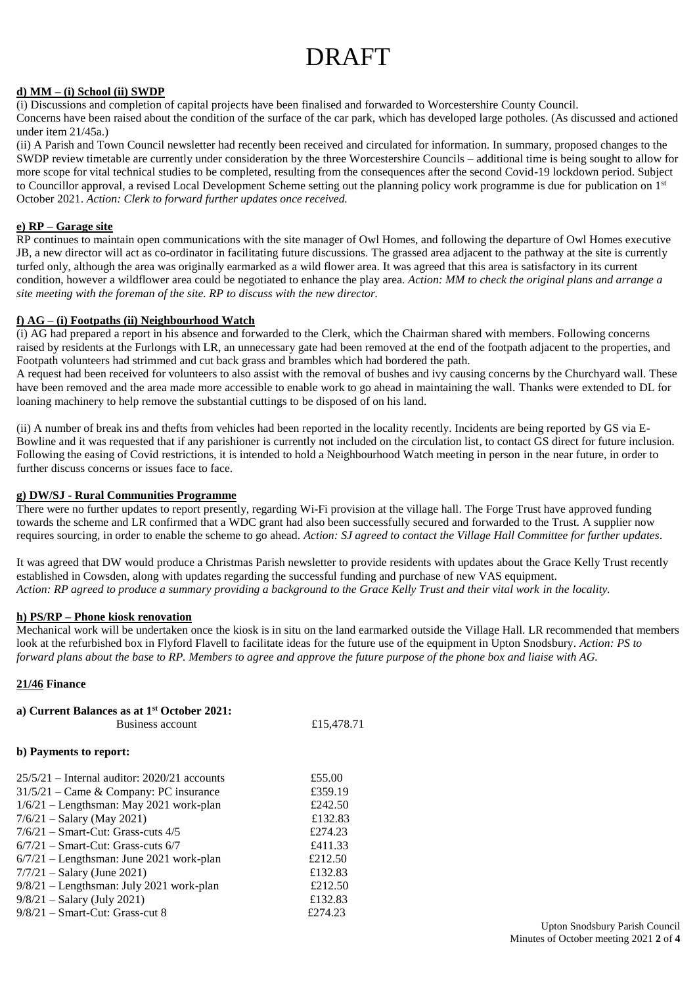# DRAFT

#### **d) MM – (i) School (ii) SWDP**

(i) Discussions and completion of capital projects have been finalised and forwarded to Worcestershire County Council.

Concerns have been raised about the condition of the surface of the car park, which has developed large potholes. (As discussed and actioned under item 21/45a.)

(ii) A Parish and Town Council newsletter had recently been received and circulated for information. In summary, proposed changes to the SWDP review timetable are currently under consideration by the three Worcestershire Councils – additional time is being sought to allow for more scope for vital technical studies to be completed, resulting from the consequences after the second Covid-19 lockdown period. Subject to Councillor approval, a revised Local Development Scheme setting out the planning policy work programme is due for publication on 1<sup>st</sup> October 2021. *Action: Clerk to forward further updates once received.*

#### **e) RP – Garage site**

RP continues to maintain open communications with the site manager of Owl Homes, and following the departure of Owl Homes executive JB, a new director will act as co-ordinator in facilitating future discussions. The grassed area adjacent to the pathway at the site is currently turfed only, although the area was originally earmarked as a wild flower area. It was agreed that this area is satisfactory in its current condition, however a wildflower area could be negotiated to enhance the play area. *Action: MM to check the original plans and arrange a site meeting with the foreman of the site. RP to discuss with the new director.*

#### **f) AG – (i) Footpaths (ii) Neighbourhood Watch**

(i) AG had prepared a report in his absence and forwarded to the Clerk, which the Chairman shared with members. Following concerns raised by residents at the Furlongs with LR, an unnecessary gate had been removed at the end of the footpath adjacent to the properties, and Footpath volunteers had strimmed and cut back grass and brambles which had bordered the path.

A request had been received for volunteers to also assist with the removal of bushes and ivy causing concerns by the Churchyard wall. These have been removed and the area made more accessible to enable work to go ahead in maintaining the wall. Thanks were extended to DL for loaning machinery to help remove the substantial cuttings to be disposed of on his land.

(ii) A number of break ins and thefts from vehicles had been reported in the locality recently. Incidents are being reported by GS via E-Bowline and it was requested that if any parishioner is currently not included on the circulation list, to contact GS direct for future inclusion. Following the easing of Covid restrictions, it is intended to hold a Neighbourhood Watch meeting in person in the near future, in order to further discuss concerns or issues face to face.

#### **g) DW/SJ - Rural Communities Programme**

There were no further updates to report presently, regarding Wi-Fi provision at the village hall. The Forge Trust have approved funding towards the scheme and LR confirmed that a WDC grant had also been successfully secured and forwarded to the Trust. A supplier now requires sourcing, in order to enable the scheme to go ahead. *Action: SJ agreed to contact the Village Hall Committee for further updates.*

It was agreed that DW would produce a Christmas Parish newsletter to provide residents with updates about the Grace Kelly Trust recently established in Cowsden, along with updates regarding the successful funding and purchase of new VAS equipment. *Action: RP agreed to produce a summary providing a background to the Grace Kelly Trust and their vital work in the locality.*

#### **h) PS/RP – Phone kiosk renovation**

Mechanical work will be undertaken once the kiosk is in situ on the land earmarked outside the Village Hall. LR recommended that members look at the refurbished box in Flyford Flavell to facilitate ideas for the future use of the equipment in Upton Snodsbury. *Action: PS to forward plans about the base to RP. Members to agree and approve the future purpose of the phone box and liaise with AG.*

#### **21/46 Finance**

| a) Current Balances as at 1 <sup>st</sup> October 2021: |            |
|---------------------------------------------------------|------------|
| Business account                                        | £15,478.71 |
| b) Payments to report:                                  |            |
| $25/5/21$ – Internal auditor: 2020/21 accounts          | £55.00     |
| $31/5/21$ – Came & Company: PC insurance                | £359.19    |
| $1/6/21$ – Lengthsman: May 2021 work-plan               | £242.50    |
| $7/6/21 -$ Salary (May 2021)                            | £132.83    |
| $7/6/21$ – Smart-Cut: Grass-cuts $4/5$                  | £274.23    |
| $6/7/21$ – Smart-Cut: Grass-cuts $6/7$                  | £411.33    |
| $6/7/21$ – Lengthsman: June 2021 work-plan              | £212.50    |
| $7/7/21 -$ Salary (June 2021)                           | £132.83    |
| 9/8/21 – Lengthsman: July 2021 work-plan                | £212.50    |
| $9/8/21 -$ Salary (July 2021)                           | £132.83    |
| $9/8/21$ – Smart-Cut: Grass-cut 8                       | £274.23    |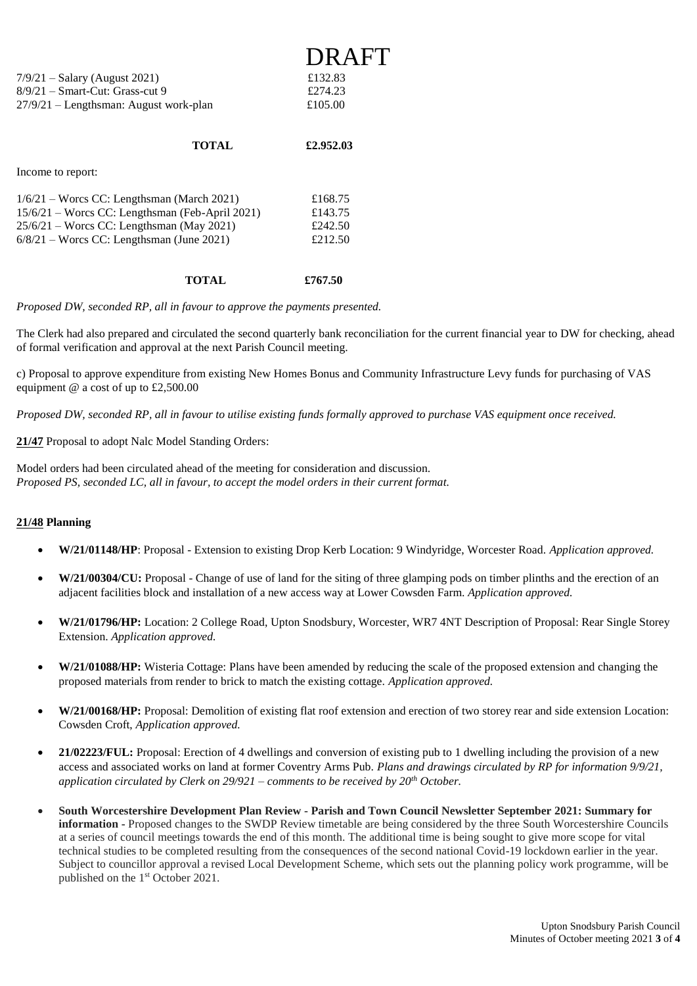|                                          | <b>DRAFT</b> |
|------------------------------------------|--------------|
| $7/9/21 -$ Salary (August 2021)          | £132.83      |
| $8/9/21$ – Smart-Cut: Grass-cut 9        | £274.23      |
| $27/9/21$ – Lengthsman: August work-plan | £105.00      |
|                                          |              |

#### **TOTAL £2.952.03**

Income to report:

| $1/6/21$ – Worcs CC: Lengthsman (March 2021)      | £168.75 |
|---------------------------------------------------|---------|
| $15/6/21$ – Worcs CC: Lengthsman (Feb-April 2021) | £143.75 |
| $25/6/21$ – Worcs CC: Lengthsman (May 2021)       | £242.50 |
| $6/8/21$ – Worcs CC: Lengthsman (June 2021)       | £212.50 |
|                                                   |         |

#### **TOTAL £767.50**

*Proposed DW, seconded RP, all in favour to approve the payments presented.*

The Clerk had also prepared and circulated the second quarterly bank reconciliation for the current financial year to DW for checking, ahead of formal verification and approval at the next Parish Council meeting.

c) Proposal to approve expenditure from existing New Homes Bonus and Community Infrastructure Levy funds for purchasing of VAS equipment @ a cost of up to £2,500.00

*Proposed DW, seconded RP, all in favour to utilise existing funds formally approved to purchase VAS equipment once received.*

**21/47** Proposal to adopt Nalc Model Standing Orders:

Model orders had been circulated ahead of the meeting for consideration and discussion. *Proposed PS, seconded LC, all in favour, to accept the model orders in their current format.* 

#### **21/48 Planning**

- **W/21/01148/HP**: Proposal Extension to existing Drop Kerb Location: 9 Windyridge, Worcester Road. *Application approved.*
- **W/21/00304/CU:** Proposal Change of use of land for the siting of three glamping pods on timber plinths and the erection of an adjacent facilities block and installation of a new access way at Lower Cowsden Farm. *Application approved.*
- **W/21/01796/HP:** Location: 2 College Road, Upton Snodsbury, Worcester, WR7 4NT Description of Proposal: Rear Single Storey Extension. *Application approved.*
- **W/21/01088/HP:** Wisteria Cottage: Plans have been amended by reducing the scale of the proposed extension and changing the proposed materials from render to brick to match the existing cottage. *Application approved.*
- **W/21/00168/HP:** Proposal: Demolition of existing flat roof extension and erection of two storey rear and side extension Location: Cowsden Croft, *Application approved.*
- **21/02223/FUL:** Proposal: Erection of 4 dwellings and conversion of existing pub to 1 dwelling including the provision of a new access and associated works on land at former Coventry Arms Pub. *Plans and drawings circulated by RP for information 9/9/21, application circulated by Clerk on 29/921 – comments to be received by 20th October.*
- **South Worcestershire Development Plan Review - Parish and Town Council Newsletter September 2021: Summary for information -** Proposed changes to the SWDP Review timetable are being considered by the three South Worcestershire Councils at a series of council meetings towards the end of this month. The additional time is being sought to give more scope for vital technical studies to be completed resulting from the consequences of the second national Covid-19 lockdown earlier in the year. Subject to councillor approval a revised Local Development Scheme, which sets out the planning policy work programme, will be published on the 1st October 2021.